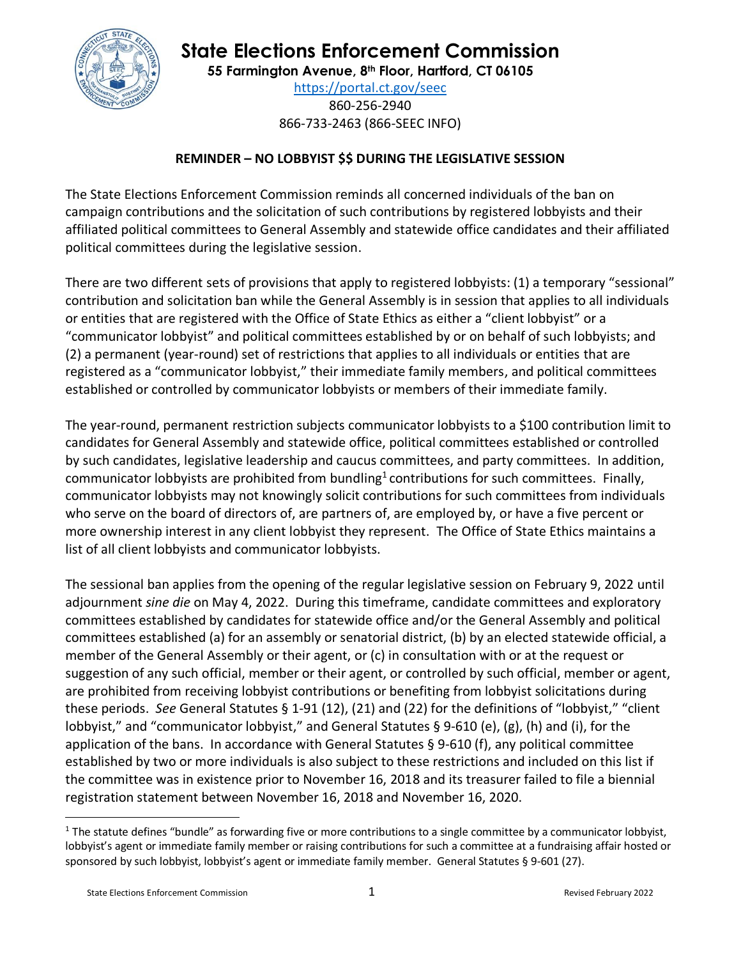

## **State Elections Enforcement Commission**

**55 Farmington Avenue, 8 th Floor, Hartford, CT 06105**

<https://portal.ct.gov/seec> 860-256-2940 866-733-2463 (866-SEEC INFO)

## **REMINDER – NO LOBBYIST \$\$ DURING THE LEGISLATIVE SESSION**

The State Elections Enforcement Commission reminds all concerned individuals of the ban on campaign contributions and the solicitation of such contributions by registered lobbyists and their affiliated political committees to General Assembly and statewide office candidates and their affiliated political committees during the legislative session.

There are two different sets of provisions that apply to registered lobbyists: (1) a temporary "sessional" contribution and solicitation ban while the General Assembly is in session that applies to all individuals or entities that are registered with the Office of State Ethics as either a "client lobbyist" or a "communicator lobbyist" and political committees established by or on behalf of such lobbyists; and (2) a permanent (year-round) set of restrictions that applies to all individuals or entities that are registered as a "communicator lobbyist," their immediate family members, and political committees established or controlled by communicator lobbyists or members of their immediate family.

The year-round, permanent restriction subjects communicator lobbyists to a \$100 contribution limit to candidates for General Assembly and statewide office, political committees established or controlled by such candidates, legislative leadership and caucus committees, and party committees. In addition, communicator lobbyists are prohibited from bundling<sup>1</sup> contributions for such committees. Finally, communicator lobbyists may not knowingly solicit contributions for such committees from individuals who serve on the board of directors of, are partners of, are employed by, or have a five percent or more ownership interest in any client lobbyist they represent. The Office of State Ethics maintains a list of all client lobbyists and communicator lobbyists.

The sessional ban applies from the opening of the regular legislative session on February 9, 2022 until adjournment *sine die* on May 4, 2022.During this timeframe, candidate committees and exploratory committees established by candidates for statewide office and/or the General Assembly and political committees established (a) for an assembly or senatorial district, (b) by an elected statewide official, a member of the General Assembly or their agent, or (c) in consultation with or at the request or suggestion of any such official, member or their agent, or controlled by such official, member or agent, are prohibited from receiving lobbyist contributions or benefiting from lobbyist solicitations during these periods. *See* General Statutes § 1-91 (12), (21) and (22) for the definitions of "lobbyist," "client lobbyist," and "communicator lobbyist," and General Statutes § 9-610 (e), (g), (h) and (i), for the application of the bans. In accordance with General Statutes § 9-610 (f), any political committee established by two or more individuals is also subject to these restrictions and included on this list if the committee was in existence prior to November 16, 2018 and its treasurer failed to file a biennial registration statement between November 16, 2018 and November 16, 2020.

 $1$  The statute defines "bundle" as forwarding five or more contributions to a single committee by a communicator lobbyist, lobbyist's agent or immediate family member or raising contributions for such a committee at a fundraising affair hosted or sponsored by such lobbyist, lobbyist's agent or immediate family member. General Statutes § 9-601 (27).